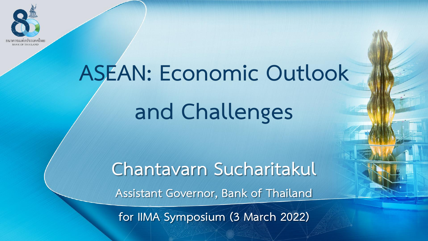

# **ASEAN: Economic Outlook and Challenges**

**Chantavarn Sucharitakul Assistant Governor, Bank of Thailand** 

**for IIMA Symposium (3 March 2022)**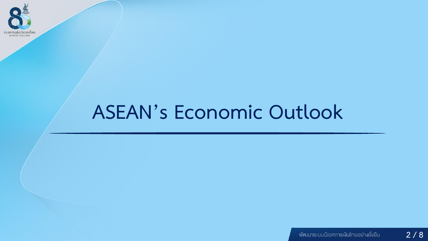

## **ASEAN's Economic Outlook**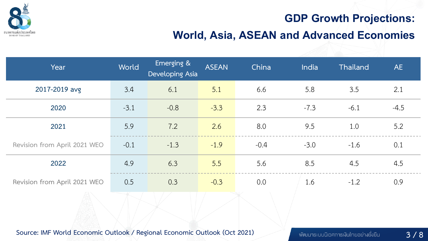

#### **GDP Growth Projections:**

#### **World, Asia, ASEAN and Advanced Economies**

| Year                                                                                     | World  | Emerging &<br>Developing Asia | <b>ASEAN</b> | China  | India  | Thailand | <b>AE</b> |
|------------------------------------------------------------------------------------------|--------|-------------------------------|--------------|--------|--------|----------|-----------|
| 2017-2019 avg                                                                            | 3.4    | 6.1                           | 5.1          | 6.6    | 5.8    | 3.5      | 2.1       |
| 2020                                                                                     | $-3.1$ | $-0.8$                        | $-3.3$       | 2.3    | $-7.3$ | $-6.1$   | $-4.5$    |
| 2021                                                                                     | 5.9    | 7.2                           | 2.6          | 8.0    | 9.5    | 1.0      | 5.2       |
| Revision from April 2021 WEO                                                             | $-0.1$ | $-1.3$                        | $-1.9$       | $-0.4$ | $-3.0$ | $-1.6$   | 0.1       |
| 2022                                                                                     | 4.9    | 6.3                           | 5.5          | 5.6    | 8.5    | 4.5      | 4.5       |
| Revision from April 2021 WEO<br>the contract of the contract of the contract of the con- | 0.5    | 0.3                           | $-0.3$       | 0.0    | 1.6    | $-1.2$   | 0.9       |

**Source: IMF World Economic Outlook / Regional Economic Outlook (Oct 2021)**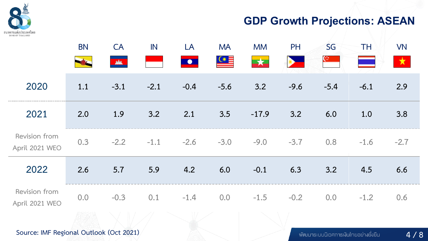

### **GDP Growth Projections: ASEAN**

|                                 | <b>BN</b> | <b>CA</b>     | IN     | LA        | <b>MA</b>  | <b>MM</b>  | PH     | SG     | TH.    | <b>VN</b> |
|---------------------------------|-----------|---------------|--------|-----------|------------|------------|--------|--------|--------|-----------|
|                                 |           | $\frac{1}{2}$ |        | $\bullet$ | $C \equiv$ | $\bigstar$ |        | © ∣    |        | $\star$   |
| 2020                            | 1.1       | $-3.1$        | $-2.1$ | $-0.4$    | $-5.6$     | 3.2        | $-9.6$ | $-5.4$ | $-6.1$ | 2.9       |
| 2021                            | 2.0       | 1.9           | 3.2    | 2.1       | 3.5        | $-17.9$    | 3.2    | 6.0    | 1.0    | 3.8       |
| Revision from<br>April 2021 WEO | 0.3       | $-2.2$        | $-1.1$ | $-2.6$    | $-3.0$     | $-9.0$     | $-3.7$ | 0.8    | $-1.6$ | $-2.7$    |
| 2022                            | 2.6       | 5.7           | 5.9    | 4.2       | 6.0        | $-0.1$     | 6.3    | 3.2    | 4.5    | 6.6       |
| Revision from<br>April 2021 WEO | 0.0       | $-0.3$        | 0.1    | $-1.4$    | 0.0        | $-1.5$     | $-0.2$ | 0.0    | $-1.2$ | 0.6       |

**Source: IMF Regional Outlook (Oct 2021)**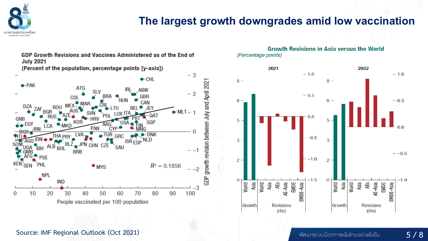

#### **The largest growth downgrades amid low vaccination**



**Growth Revisions in Asia versus the World** (Percentage points)



**Source: IMF Regional Outlook (Oct 2021)**

**5 / 8**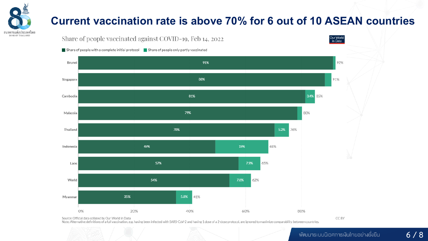

### **Current vaccination rate is above 70% for 6 out of 10 ASEAN countries**



Source: Official data collated by Our World in Data

Note: Alternative definitions of a full vaccination, e.g. having been infected with SARS-CoV-2 and having 1 dose of a 2-dose protocol, are ignored to maximize comparability between countries.

CC BY

**6 / 8**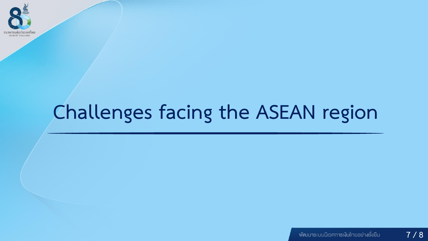

# **Challenges facing the ASEAN region**